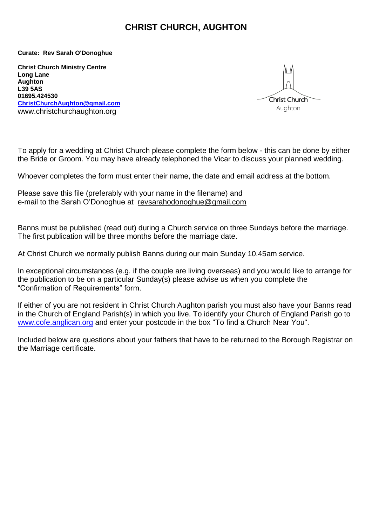## **CHRIST CHURCH, AUGHTON**

**Curate: Rev Sarah O'Donoghue** 

**Christ Church Ministry Centre Long Lane Aughton L39 5AS 01695.424530 [ChristChurchAughton@gmail.com](mailto:ChristChurchAughton@gmail.com)** www.christchurchaughton.org



To apply for a wedding at Christ Church please complete the form below - this can be done by either the Bride or Groom. You may have already telephoned the Vicar to discuss your planned wedding.

Whoever completes the form must enter their name, the date and email address at the bottom.

Please save this file (preferably with your name in the filename) and e-mail to the Sarah O'Donoghue at revsarahodonoghue@gmail.com

Banns must be published (read out) during a Church service on three Sundays before the marriage. The first publication will be three months before the marriage date.

At Christ Church we normally publish Banns during our main Sunday 10.45am service.

In exceptional circumstances (e.g. if the couple are living overseas) and you would like to arrange for the publication to be on a particular Sunday(s) please advise us when you complete the "Confirmation of Requirements" form.

If either of you are not resident in Christ Church Aughton parish you must also have your Banns read in the Church of England Parish(s) in which you live. To identify your Church of England Parish go to [www.cofe.anglican.org](file:///C:/Users/CC%20Administrator/Dropbox/Church%20data/Weddings/www.cofe.anglican.org) and enter your postcode in the box "To find a Church Near You".

Included below are questions about your fathers that have to be returned to the Borough Registrar on the Marriage certificate.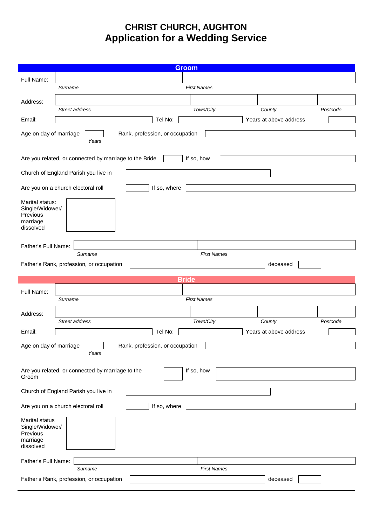## **CHRIST CHURCH, AUGHTON Application for a Wedding Service**

|                                                           | Groom                                                     |            |                        |          |  |  |  |  |  |
|-----------------------------------------------------------|-----------------------------------------------------------|------------|------------------------|----------|--|--|--|--|--|
| Full Name:                                                |                                                           |            |                        |          |  |  |  |  |  |
|                                                           | <b>First Names</b><br>Surname                             |            |                        |          |  |  |  |  |  |
|                                                           |                                                           |            |                        |          |  |  |  |  |  |
| Address:                                                  | Street address                                            | Town/City  | County                 | Postcode |  |  |  |  |  |
| Email:                                                    | Tel No:                                                   |            | Years at above address |          |  |  |  |  |  |
|                                                           |                                                           |            |                        |          |  |  |  |  |  |
|                                                           | Age on day of marriage<br>Rank, profession, or occupation |            |                        |          |  |  |  |  |  |
| Years                                                     |                                                           |            |                        |          |  |  |  |  |  |
|                                                           |                                                           |            |                        |          |  |  |  |  |  |
|                                                           | Are you related, or connected by marriage to the Bride    | If so, how |                        |          |  |  |  |  |  |
|                                                           | Church of England Parish you live in                      |            |                        |          |  |  |  |  |  |
|                                                           |                                                           |            |                        |          |  |  |  |  |  |
|                                                           | If so, where<br>Are you on a church electoral roll        |            |                        |          |  |  |  |  |  |
| Marital status:                                           |                                                           |            |                        |          |  |  |  |  |  |
| Single/Widower/<br>Previous                               |                                                           |            |                        |          |  |  |  |  |  |
| marriage                                                  |                                                           |            |                        |          |  |  |  |  |  |
| dissolved                                                 |                                                           |            |                        |          |  |  |  |  |  |
|                                                           |                                                           |            |                        |          |  |  |  |  |  |
| Father's Full Name:                                       |                                                           |            |                        |          |  |  |  |  |  |
| Surname<br><b>First Names</b>                             |                                                           |            |                        |          |  |  |  |  |  |
|                                                           | Father's Rank, profession, or occupation                  |            | deceased               |          |  |  |  |  |  |
| <b>Bride</b>                                              |                                                           |            |                        |          |  |  |  |  |  |
| Full Name:                                                |                                                           |            |                        |          |  |  |  |  |  |
| <b>First Names</b><br>Surname                             |                                                           |            |                        |          |  |  |  |  |  |
|                                                           |                                                           |            |                        |          |  |  |  |  |  |
| Address:                                                  | Street address                                            | Town/City  | County                 | Postcode |  |  |  |  |  |
| Email:                                                    | Tel No:                                                   |            | Years at above address |          |  |  |  |  |  |
|                                                           |                                                           |            |                        |          |  |  |  |  |  |
| Age on day of marriage<br>Rank, profession, or occupation |                                                           |            |                        |          |  |  |  |  |  |
| Years                                                     |                                                           |            |                        |          |  |  |  |  |  |
|                                                           | Are you related, or connected by marriage to the          | If so, how |                        |          |  |  |  |  |  |
| Groom                                                     |                                                           |            |                        |          |  |  |  |  |  |
|                                                           |                                                           |            |                        |          |  |  |  |  |  |
| Church of England Parish you live in                      |                                                           |            |                        |          |  |  |  |  |  |
| Are you on a church electoral roll<br>If so, where        |                                                           |            |                        |          |  |  |  |  |  |
| Marital status                                            |                                                           |            |                        |          |  |  |  |  |  |
| Single/Widower/                                           |                                                           |            |                        |          |  |  |  |  |  |
| Previous                                                  |                                                           |            |                        |          |  |  |  |  |  |
| marriage<br>dissolved                                     |                                                           |            |                        |          |  |  |  |  |  |
|                                                           |                                                           |            |                        |          |  |  |  |  |  |
| Father's Full Name:                                       |                                                           |            |                        |          |  |  |  |  |  |
| <b>First Names</b><br>Surname                             |                                                           |            |                        |          |  |  |  |  |  |
| Father's Rank, profession, or occupation<br>deceased      |                                                           |            |                        |          |  |  |  |  |  |